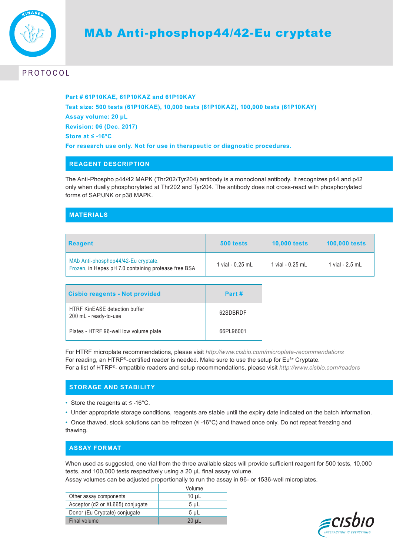

# **PROTOCOL**

**Part # 61P10KAE, 61P10KAZ and 61P10KAY Test size: 500 tests (61P10KAE), 10,000 tests (61P10KAZ), 100,000 tests (61P10KAY) Assay volume: 20 µL Revision: 06 (Dec. 2017) Store at ≤ -16°C For research use only. Not for use in therapeutic or diagnostic procedures.**

## **REAGENT DESCRIPTION**

The Anti-Phospho p44/42 MAPK (Thr202/Tyr204) antibody is a monoclonal antibody. It recognizes p44 and p42 only when dually phosphorylated at Thr202 and Tyr204. The antibody does not cross-react with phosphorylated forms of SAP/JNK or p38 MAPK.

## **MATERIALS**

| <b>Reagent</b>                                                                              | 500 tests        | <b>10,000 tests</b> | <b>100,000 tests</b> |
|---------------------------------------------------------------------------------------------|------------------|---------------------|----------------------|
| MAb Anti-phosphop44/42-Eu cryptate.<br>Frozen, in Hepes pH 7.0 containing protease free BSA | 1 vial - 0.25 mL | 1 vial - 0.25 mL    | 1 vial - 2.5 mL      |

| <b>Cisbio reagents - Not provided</b>                         | Part #    |
|---------------------------------------------------------------|-----------|
| <b>HTRF KinEASE detection buffer</b><br>200 mL - ready-to-use | 62SDBRDF  |
| Plates - HTRF 96-well low volume plate                        | 66PL96001 |

For HTRF microplate recommendations, please visit *http://www.cisbio.com/microplate-recommendations* For reading, an HTRF®-certified reader is needed. Make sure to use the setup for Eu<sup>3+</sup> Cryptate. For a list of HTRF®- ompatible readers and setup recommendations, please visit *http://www.cisbio.com/readers* 

## **STORAGE AND STABILITY**

- Store the reagents at ≤ -16°C.
- Under appropriate storage conditions, reagents are stable until the expiry date indicated on the batch information.

• Once thawed, stock solutions can be refrozen (≤ -16°C) and thawed once only. Do not repeat freezing and thawing.

## **ASSAY FORMAT**

When used as suggested, one vial from the three available sizes will provide sufficient reagent for 500 tests, 10,000 tests, and 100,000 tests respectively using a 20 μL final assay volume.

Assay volumes can be adjusted proportionally to run the assay in 96- or 1536-well microplates.

|                                  | Volume         |
|----------------------------------|----------------|
| Other assay components           | $10 \mu L$     |
| Acceptor (d2 or XL665) conjugate | $5 \mu L$      |
| Donor (Eu Cryptate) conjugate    | 5 <sub>µ</sub> |
| Final volume                     | $20 \mu L$     |